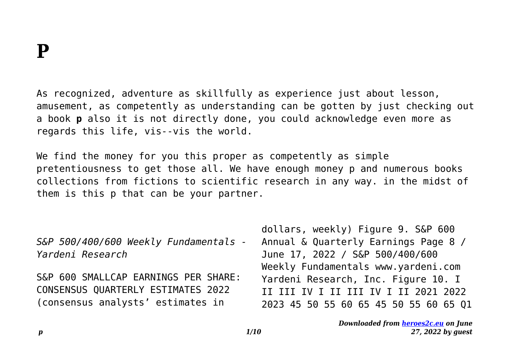As recognized, adventure as skillfully as experience just about lesson, amusement, as competently as understanding can be gotten by just checking out a book **p** also it is not directly done, you could acknowledge even more as regards this life, vis--vis the world.

We find the money for you this proper as competently as simple pretentiousness to get those all. We have enough money p and numerous books collections from fictions to scientific research in any way. in the midst of them is this p that can be your partner.

*S&P 500/400/600 Weekly Fundamentals - Yardeni Research*

S&P 600 SMALLCAP EARNINGS PER SHARE: CONSENSUS QUARTERLY ESTIMATES 2022 (consensus analysts' estimates in

dollars, weekly) Figure 9. S&P 600 Annual & Quarterly Earnings Page 8 / June 17, 2022 / S&P 500/400/600 Weekly Fundamentals www.yardeni.com Yardeni Research, Inc. Figure 10. I II III IV I II III IV I II 2021 2022 2023 45 50 55 60 65 45 50 55 60 65 Q1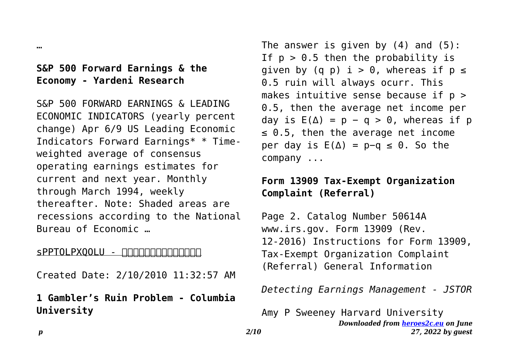#### …

# **S&P 500 Forward Earnings & the Economy - Yardeni Research**

S&P 500 FORWARD EARNINGS & LEADING ECONOMIC INDICATORS (yearly percent change) Apr 6/9 US Leading Economic Indicators Forward Earnings\* \* Timeweighted average of consensus operating earnings estimates for current and next year. Monthly through March 1994, weekly thereafter. Note: Shaded areas are recessions according to the National Bureau of Economic …

#### sPPTOLPXOOLU - <u>חחחחחחחחחחח</u>

Created Date: 2/10/2010 11:32:57 AM

**1 Gambler's Ruin Problem - Columbia University**

The answer is given by  $(4)$  and  $(5)$ : If  $p > 0.5$  then the probability is given by (q p)  $i > 0$ , whereas if  $p \le$ 0.5 ruin will always ocurr. This makes intuitive sense because if  $p >$ 0.5, then the average net income per day is  $E(\Delta) = p - q > 0$ , whereas if p  $\leq$  0.5, then the average net income per day is  $E(\Delta) = p-q \le 0$ . So the company ...

## **Form 13909 Tax-Exempt Organization Complaint (Referral)**

Page 2. Catalog Number 50614A www.irs.gov. Form 13909 (Rev. 12-2016) Instructions for Form 13909, Tax-Exempt Organization Complaint (Referral) General Information

*Detecting Earnings Management - JSTOR*

*Downloaded from [heroes2c.eu](http://heroes2c.eu) on June 27, 2022 by guest* Amy P Sweeney Harvard University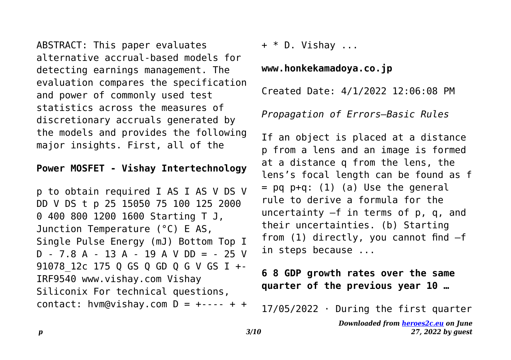ABSTRACT: This paper evaluates alternative accrual-based models for detecting earnings management. The evaluation compares the specification and power of commonly used test statistics across the measures of discretionary accruals generated by the models and provides the following major insights. First, all of the

#### **Power MOSFET - Vishay Intertechnology**

p to obtain required I AS I AS V DS V DD V DS t p 25 15050 75 100 125 2000 0 400 800 1200 1600 Starting T J, Junction Temperature (°C) E AS, Single Pulse Energy (mJ) Bottom Top I  $D - 7.8$  A - 13 A - 19 A V DD = - 25 V 91078\_12c 175 Q GS Q GD Q G V GS I +- IRF9540 www.vishay.com Vishay Siliconix For technical questions, contact: hvm@vishay.com  $D = +- - - + +$ 

 $+$  \* D. Vishav ...

**www.honkekamadoya.co.jp**

Created Date: 4/1/2022 12:06:08 PM

*Propagation of Errors—Basic Rules*

If an object is placed at a distance p from a lens and an image is formed at a distance q from the lens, the lens's focal length can be found as f  $=$  pq p+q: (1) (a) Use the general rule to derive a formula for the uncertainty –f in terms of p, q, and their uncertainties. (b) Starting from (1) directly, you cannot find –f in steps because ...

## **6 8 GDP growth rates over the same quarter of the previous year 10 …**

17/05/2022 · During the first quarter

*Downloaded from [heroes2c.eu](http://heroes2c.eu) on June 27, 2022 by guest*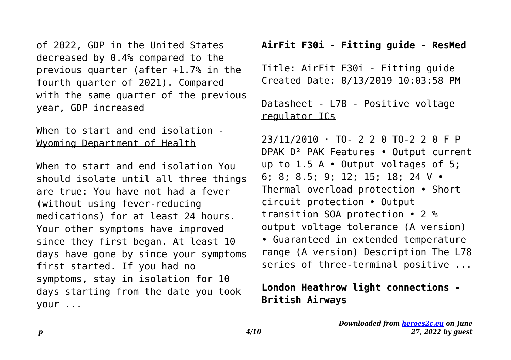of 2022, GDP in the United States decreased by 0.4% compared to the previous quarter (after +1.7% in the fourth quarter of 2021). Compared with the same quarter of the previous year, GDP increased

#### When to start and end isolation - Wyoming Department of Health

When to start and end isolation You should isolate until all three things are true: You have not had a fever (without using fever-reducing medications) for at least 24 hours. Your other symptoms have improved since they first began. At least 10 days have gone by since your symptoms first started. If you had no symptoms, stay in isolation for 10 days starting from the date you took your ...

### **AirFit F30i - Fitting guide - ResMed**

Title: AirFit F30i - Fitting guide Created Date: 8/13/2019 10:03:58 PM

# Datasheet - L78 - Positive voltage regulator ICs

23/11/2010 · TO- 2 2 0 TO-2 2 0 F P DPAK D² PAK Features • Output current up to 1.5 A • Output voltages of 5; 6; 8; 8.5; 9; 12; 15; 18; 24 V • Thermal overload protection • Short circuit protection • Output transition SOA protection • 2 % output voltage tolerance (A version) • Guaranteed in extended temperature range (A version) Description The L78 series of three-terminal positive ...

# **London Heathrow light connections - British Airways**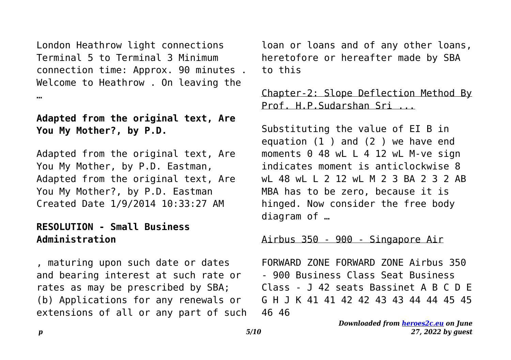London Heathrow light connections Terminal 5 to Terminal 3 Minimum connection time: Approx. 90 minutes . Welcome to Heathrow . On leaving the …

### **Adapted from the original text, Are You My Mother?, by P.D.**

Adapted from the original text, Are You My Mother, by P.D. Eastman, Adapted from the original text, Are You My Mother?, by P.D. Eastman Created Date 1/9/2014 10:33:27 AM

### **RESOLUTION - Small Business Administration**

, maturing upon such date or dates and bearing interest at such rate or rates as may be prescribed by SBA; (b) Applications for any renewals or extensions of all or any part of such loan or loans and of any other loans, heretofore or hereafter made by SBA to this

## Chapter-2: Slope Deflection Method By Prof. H.P.Sudarshan Sri ...

Substituting the value of EI B in equation (1 ) and (2 ) we have end moments 0 48 wL L 4 12 wL M-ve sign indicates moment is anticlockwise 8 wL 48 wL L 2 12 wL M 2 3 BA 2 3 2 AB MBA has to be zero, because it is hinged. Now consider the free body diagram of …

#### Airbus 350 - 900 - Singapore Air

FORWARD ZONE FORWARD ZONE Airbus 350 - 900 Business Class Seat Business Class - J 42 seats Bassinet A B C D E G H J K 41 41 42 42 43 43 44 44 45 45 46 46

> *Downloaded from [heroes2c.eu](http://heroes2c.eu) on June 27, 2022 by guest*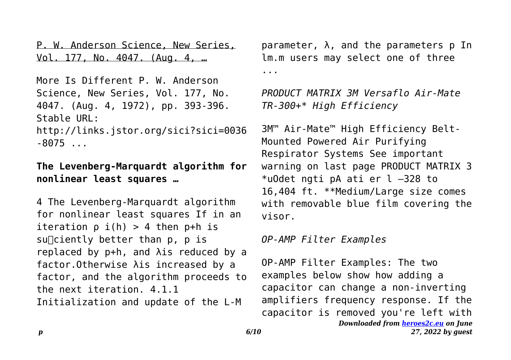P. W. Anderson Science, New Series, Vol. 177, No. 4047. (Aug. 4, …

More Is Different P. W. Anderson Science, New Series, Vol. 177, No. 4047. (Aug. 4, 1972), pp. 393-396. Stable URL: http://links.jstor.org/sici?sici=0036

 $-8075...$ 

## **The Levenberg-Marquardt algorithm for nonlinear least squares …**

4 The Levenberg-Marquardt algorithm for nonlinear least squares If in an iteration  $\rho$  i(h) > 4 then  $p+h$  is  $su$ ciently better than p, p is replaced by p+h, and λis reduced by a factor.Otherwise λis increased by a factor, and the algorithm proceeds to the next iteration. 4.1.1 Initialization and update of the L-M

 $parameter, \lambda,$  and the parameters p In lm.m users may select one of three ...

*PRODUCT MATRIX 3M Versaflo Air-Mate TR-300+\* High Efficiency*

3M™ Air-Mate™ High Efficiency Belt-Mounted Powered Air Purifying Respirator Systems See important warning on last page PRODUCT MATRIX 3 \*uOdet ngti pA ati er l –328 to 16,404 ft. \*\*Medium/Large size comes with removable blue film covering the visor.

*OP-AMP Filter Examples*

*Downloaded from [heroes2c.eu](http://heroes2c.eu) on June 27, 2022 by guest* OP-AMP Filter Examples: The two examples below show how adding a capacitor can change a non-inverting amplifiers frequency response. If the capacitor is removed you're left with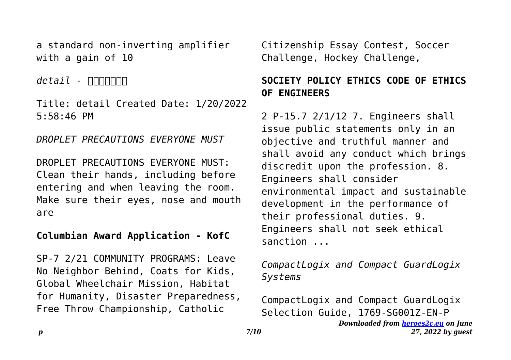a standard non-inverting amplifier with a gain of 10

*detail - <u>ΠΠ</u>ΠΠΠΠ</u>* 

Title: detail Created Date: 1/20/2022 5:58:46 PM

*DROPLET PRECAUTIONS EVERYONE MUST*

DROPLET PRECAUTIONS EVERYONE MUST: Clean their hands, including before entering and when leaving the room. Make sure their eyes, nose and mouth are

## **Columbian Award Application - KofC**

SP-7 2/21 COMMUNITY PROGRAMS: Leave No Neighbor Behind, Coats for Kids, Global Wheelchair Mission, Habitat for Humanity, Disaster Preparedness, Free Throw Championship, Catholic

Citizenship Essay Contest, Soccer Challenge, Hockey Challenge,

## **SOCIETY POLICY ETHICS CODE OF ETHICS OF ENGINEERS**

2 P-15.7 2/1/12 7. Engineers shall issue public statements only in an objective and truthful manner and shall avoid any conduct which brings discredit upon the profession. 8. Engineers shall consider environmental impact and sustainable development in the performance of their professional duties. 9. Engineers shall not seek ethical sanction ...

*CompactLogix and Compact GuardLogix Systems*

*Downloaded from [heroes2c.eu](http://heroes2c.eu) on June 27, 2022 by guest* CompactLogix and Compact GuardLogix Selection Guide, 1769-SG001Z-EN-P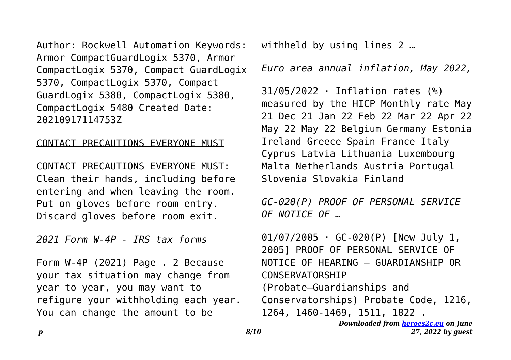Author: Rockwell Automation Keywords: Armor CompactGuardLogix 5370, Armor CompactLogix 5370, Compact GuardLogix 5370, CompactLogix 5370, Compact GuardLogix 5380, CompactLogix 5380, CompactLogix 5480 Created Date: 20210917114753Z

#### CONTACT PRECAUTIONS EVERYONE MUST

CONTACT PRECAUTIONS EVERYONE MUST: Clean their hands, including before entering and when leaving the room. Put on gloves before room entry. Discard gloves before room exit.

*2021 Form W-4P - IRS tax forms*

Form W-4P (2021) Page . 2 Because your tax situation may change from year to year, you may want to refigure your withholding each year. You can change the amount to be

withheld by using lines 2 …

*Euro area annual inflation, May 2022,*

31/05/2022 · Inflation rates (%) measured by the HICP Monthly rate May 21 Dec 21 Jan 22 Feb 22 Mar 22 Apr 22 May 22 May 22 Belgium Germany Estonia Ireland Greece Spain France Italy Cyprus Latvia Lithuania Luxembourg Malta Netherlands Austria Portugal Slovenia Slovakia Finland

*GC-020(P) PROOF OF PERSONAL SERVICE OF NOTICE OF …*

 $01/07/2005$  · GC-020(P) [New July 1, 2005] PROOF OF PERSONAL SERVICE OF NOTICE OF HEARING — GUARDIANSHIP OR CONSERVATORSHIP (Probate—Guardianships and Conservatorships) Probate Code, 1216, 1264, 1460-1469, 1511, 1822 .

```
Downloaded from heroes2c.eu on June
       27, 2022 by guest
```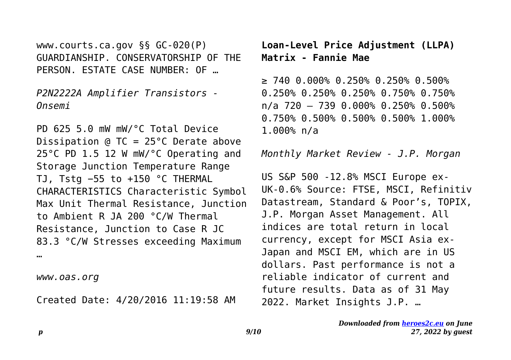www.courts.ca.gov §§ GC-020(P) GUARDIANSHIP. CONSERVATORSHIP OF THE PERSON. ESTATE CASE NUMBER: OF …

*P2N2222A Amplifier Transistors - Onsemi*

PD 625 5.0 mW mW/°C Total Device Dissipation @ TC = 25°C Derate above 25°C PD 1.5 12 W mW/°C Operating and Storage Junction Temperature Range TJ, Tstg −55 to +150 °C THERMAL CHARACTERISTICS Characteristic Symbol Max Unit Thermal Resistance, Junction to Ambient R JA 200 °C/W Thermal Resistance, Junction to Case R JC 83.3 °C/W Stresses exceeding Maximum …

*www.oas.org*

Created Date: 4/20/2016 11:19:58 AM

**Loan-Level Price Adjustment (LLPA) Matrix - Fannie Mae**

≥ 740 0.000% 0.250% 0.250% 0.500% 0.250% 0.250% 0.250% 0.750% 0.750% n/a 720 – 739 0.000% 0.250% 0.500% 0.750% 0.500% 0.500% 0.500% 1.000% 1.000% n/a

*Monthly Market Review - J.P. Morgan*

US S&P 500 -12.8% MSCI Europe ex-UK-0.6% Source: FTSE, MSCI, Refinitiv Datastream, Standard & Poor's, TOPIX, J.P. Morgan Asset Management. All indices are total return in local currency, except for MSCI Asia ex-Japan and MSCI EM, which are in US dollars. Past performance is not a reliable indicator of current and future results. Data as of 31 May 2022. Market Insights J.P. …